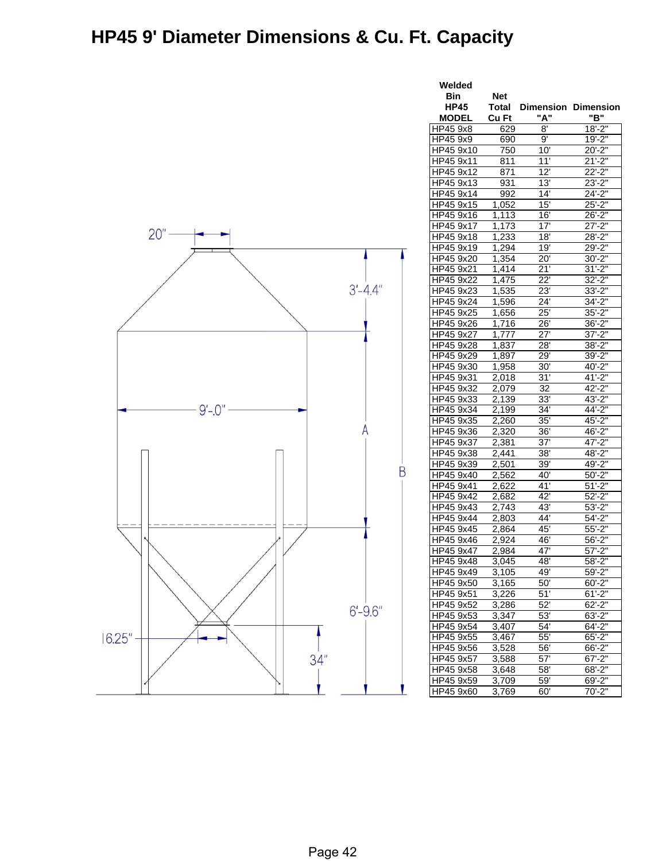## **HP45 9' Diameter Dimensions & Cu. Ft. Capacity**



| Welded                 |                    |                     |                            |  |  |
|------------------------|--------------------|---------------------|----------------------------|--|--|
| Bin                    | <b>Net</b>         |                     |                            |  |  |
| <b>HP45</b>            | Total              |                     | <b>Dimension Dimension</b> |  |  |
| <b>MODEL</b>           | Cu Ft              | "A"                 | "B"                        |  |  |
| HP45 9x8               | 629                | 8'                  | $18 - 2"$                  |  |  |
| HP45 9x9               | 690                | $9^{\circ}$         | $19' - 2"$                 |  |  |
| HP45 9x10              | 750                | 10'                 | $20' - 2"$                 |  |  |
| HP45 9x11              | 811                | $11^{1}$            | $21'-2"$                   |  |  |
| HP45 9x12              | 871                | 12'                 | $22 - 2"$                  |  |  |
| HP45 9x13              | 931                | 13'                 | $23 - 2"$                  |  |  |
| HP45 9x14              | 992                | 14'                 | $24 - 2"$                  |  |  |
| HP45 9x15              | 1,052              | 15'                 | $25 - 2"$                  |  |  |
| HP45 9x16              | 1,113              | 16'                 | $26 - 2$                   |  |  |
| HP45 9x17              | 1,173              | 17'                 | $27 - 2"$                  |  |  |
| HP45 9x18              | 1,233              | 18'                 | $28 - 2"$                  |  |  |
| HP45 9x19              | 1,294              | 19'                 | $29' - 2"$                 |  |  |
| HP45 9x20              | 1,354              | $20^7$              | $30 - 2"$                  |  |  |
| HP45 9x21              | 1,414              | 21'                 | $31 - 2"$                  |  |  |
| HP45 9x22              | 1,475              | $\overline{22}$     | $32' - 2"$                 |  |  |
| HP45 9x23              | 1,535              | 23'                 | $33' - 2"$                 |  |  |
| HP45 9x24              | 1,596              | 24'                 | 34'-2"                     |  |  |
| HP45 9x25              | 1,656              | 25'                 | $35 - 2"$                  |  |  |
| HP45 9x26              | 1,716              | 26'                 | $36 - 2"$                  |  |  |
| HP45 9x27              | 1,777              | 27'                 | $37 - 2"$                  |  |  |
| HP45 9x28              | 1,837              | 28'                 | $38 - 2"$                  |  |  |
| HP45 9x29              | 1,897              | 29'                 | $39' - 2"$                 |  |  |
| HP45 9x30              | 1,958              | 30'                 | 40'-2"                     |  |  |
| HP45 9x31<br>HP45 9x32 | 2,018<br>2,079     | 31'<br>32           | $41 - 2"$<br>$42 - 2"$     |  |  |
|                        |                    | 33'                 | $43 - 2"$                  |  |  |
| HP45 9x33<br>HP45 9x34 | 2,139              | 34'                 | $44 - 2"$                  |  |  |
| HP45 9x35              | 2,199<br>2,260     | $35^{\overline{}}$  | 45'-2"                     |  |  |
|                        | 2,320              |                     | $46' - 2"$                 |  |  |
| HP45 9x36<br>HP45 9x37 | 2,381              | 36'<br>37'          | 47'-2"                     |  |  |
| HP45 9x38              | 2,441              | 38'                 | $48 - 2"$                  |  |  |
| HP45 9x39              | 2,501              | 39'                 | 49'-2"                     |  |  |
| HP45 9x40              | 2,562              | 40'                 | $50' - 2"$                 |  |  |
| HP45 9x41              | 2,622              | 41'                 | $51' - 2''$                |  |  |
| HP45 9x42              | 2,682              | 42'                 | $52 - 2"$                  |  |  |
| HP45 9x43              | 2,743              | 43'                 | $53 - 2"$                  |  |  |
| HP45 9x44              | 2,803              | 44'                 | $54 - 2"$                  |  |  |
| HP45 9x45              | 2,864              | 45'                 | $55 - 2"$                  |  |  |
| HP45 9x46              | 2,924              | 46'                 | $56' - 2"$                 |  |  |
| HP45 9x47              | 2,984              | 47'                 | $57 - 2"$                  |  |  |
| HP45 9x48              | 3,045              | 48'                 | 58'-2"                     |  |  |
| HP45 9x49              | 3.105              | 49'                 | $59 - 2"$                  |  |  |
| HP45 9x50              | $\overline{3,}165$ | 50'                 | $60' - 2"$                 |  |  |
| HP45 9x51              | 3,226              | 51'                 | $61'-2"$                   |  |  |
| HP45 9x52              | 3,286              | 52'                 | $62 - 2"$                  |  |  |
| HP45 9x53              | 3,347              | 53'                 | $63 - 2$                   |  |  |
| HP45 9x54              | 3,407              | 54'                 | 64'-2"                     |  |  |
| HP45 9x55              | 3,467              | 55'                 | $65 - 2"$                  |  |  |
| HP45 9x56              | 3,528              | 56'                 | 66'-2"                     |  |  |
| HP45 9x57              | 3,588              | 57'                 | $67 - 2$                   |  |  |
| HP45 9x58              | 3,648              | 58'                 | 68'-2"                     |  |  |
| HP45 9x59              | 3,709              | $59^{\overline{1}}$ | 69'-2"                     |  |  |
| HP45 9x60              | 3,769              | 60'                 | $70' - 2"$                 |  |  |